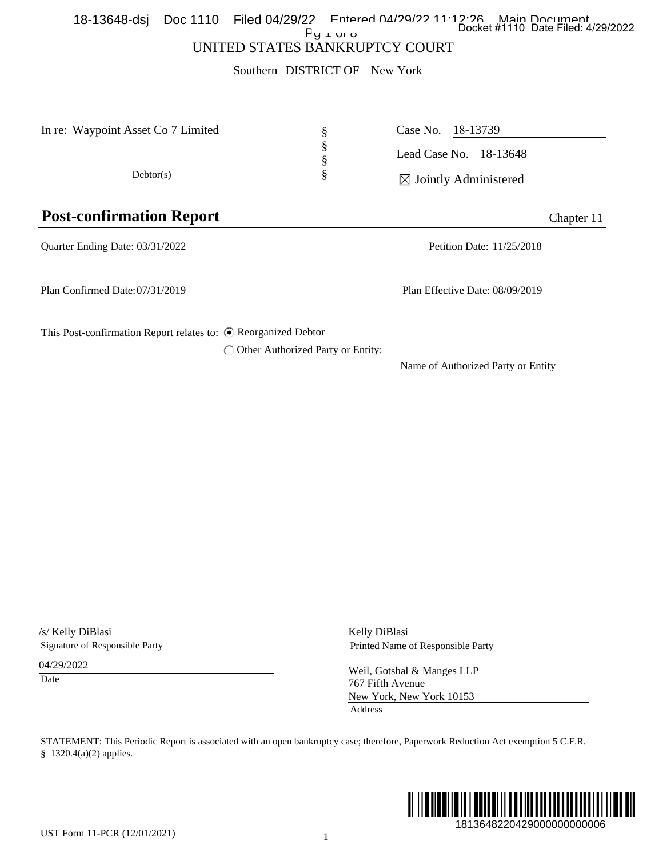|                                                                           | UNITED STATES BANKRUPTCY COURT | Southern DISTRICT OF                | New York                                                                                                                                    |
|---------------------------------------------------------------------------|--------------------------------|-------------------------------------|---------------------------------------------------------------------------------------------------------------------------------------------|
| In re: Waypoint Asset Co 7 Limited                                        |                                | §<br>§                              | Case No.<br>18-13739<br>Lead Case No. 18-13648                                                                                              |
| Dektor(s)                                                                 |                                | §<br>ş                              | $\boxtimes$ Jointly Administered                                                                                                            |
| <b>Post-confirmation Report</b>                                           |                                |                                     | Chapter 11                                                                                                                                  |
| Quarter Ending Date: 03/31/2022                                           |                                |                                     | Petition Date: 11/25/2018                                                                                                                   |
| Plan Confirmed Date: 07/31/2019                                           |                                |                                     | Plan Effective Date: 08/09/2019                                                                                                             |
|                                                                           |                                | ◯ Other Authorized Party or Entity: | Name of Authorized Party or Entity                                                                                                          |
| /s/ Kelly DiBlasi<br>Signature of Responsible Party<br>04/29/2022<br>Date |                                |                                     | Kelly DiBlasi<br>Printed Name of Responsible Party<br>Weil, Gotshal & Manges LLP<br>767 Fifth Avenue<br>New York, New York 10153<br>Address |
| § 1320.4(a)(2) applies.                                                   |                                |                                     | STATEMENT: This Periodic Report is associated with an open bankruptcy case; therefore, Paperwork Reduction Act exemption 5 C.F.R.           |
|                                                                           |                                |                                     | WW                                                                                                                                          |

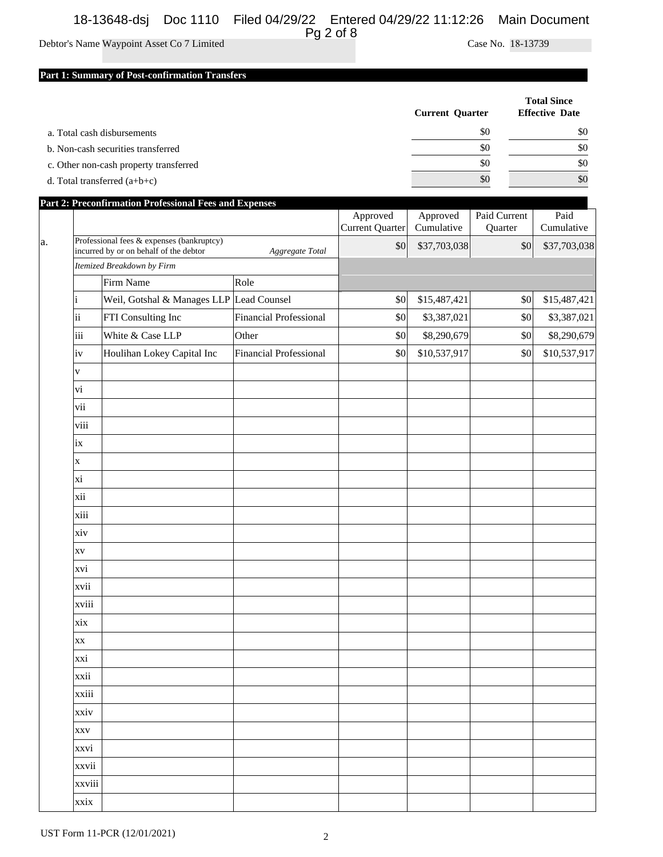## 18-13648-dsj Doc 1110 Filed 04/29/22 Entered 04/29/22 11:12:26 Main Document

# Pg 2 of 8

Debtor's Name Waypoint Asset Co 7 Limited Case No. 18-13739

#### **Part 1: Summary of Post-confirmation Transfers**

|                                        | <b>Current Quarter</b> | <b>Total Since</b><br><b>Effective Date</b> |
|----------------------------------------|------------------------|---------------------------------------------|
| a. Total cash disbursements            | \$0                    | \$0                                         |
| b. Non-cash securities transferred     | \$0                    | \$0                                         |
| c. Other non-cash property transferred | \$0                    | \$0                                         |
| d. Total transferred $(a+b+c)$         | \$0                    | \$0                                         |

|    |                                           | <b>Part 2: Preconfirmation Professional Fees and Expenses</b> |                        |                                    |                        |                         |                    |
|----|-------------------------------------------|---------------------------------------------------------------|------------------------|------------------------------------|------------------------|-------------------------|--------------------|
|    |                                           |                                                               |                        | Approved<br><b>Current Quarter</b> | Approved<br>Cumulative | Paid Current<br>Quarter | Paid<br>Cumulative |
| a. | Professional fees & expenses (bankruptcy) |                                                               |                        | \$0                                | \$37,703,038           | \$0                     | \$37,703,038       |
|    |                                           | incurred by or on behalf of the debtor<br>Aggregate Total     |                        |                                    |                        |                         |                    |
|    | Itemized Breakdown by Firm                |                                                               |                        |                                    |                        |                         |                    |
|    |                                           | Firm Name                                                     | Role                   |                                    |                        |                         |                    |
|    |                                           | Weil, Gotshal & Manages LLP Lead Counsel                      |                        | \$0                                | \$15,487,421           | \$0                     | \$15,487,421       |
|    | ii                                        | FTI Consulting Inc                                            | Financial Professional | $\$0$                              | \$3,387,021            | \$0                     | \$3,387,021        |
|    | iii                                       | White & Case LLP                                              | Other                  | \$0                                | \$8,290,679            | \$0                     | \$8,290,679        |
|    | iv                                        | Houlihan Lokey Capital Inc                                    | Financial Professional | \$0                                | \$10,537,917           | \$0                     | \$10,537,917       |
|    | V                                         |                                                               |                        |                                    |                        |                         |                    |
|    | vi                                        |                                                               |                        |                                    |                        |                         |                    |
|    | vii                                       |                                                               |                        |                                    |                        |                         |                    |
|    | viii                                      |                                                               |                        |                                    |                        |                         |                    |
|    | ix                                        |                                                               |                        |                                    |                        |                         |                    |
|    | $\mathbf X$                               |                                                               |                        |                                    |                        |                         |                    |
|    | xi                                        |                                                               |                        |                                    |                        |                         |                    |
|    | xii                                       |                                                               |                        |                                    |                        |                         |                    |
|    | xiii                                      |                                                               |                        |                                    |                        |                         |                    |
|    | xiv                                       |                                                               |                        |                                    |                        |                         |                    |
|    | <b>XV</b>                                 |                                                               |                        |                                    |                        |                         |                    |
|    | xvi                                       |                                                               |                        |                                    |                        |                         |                    |
|    | xvii                                      |                                                               |                        |                                    |                        |                         |                    |
|    | xviii                                     |                                                               |                        |                                    |                        |                         |                    |
|    | xix                                       |                                                               |                        |                                    |                        |                         |                    |
|    | <b>XX</b>                                 |                                                               |                        |                                    |                        |                         |                    |
|    | xxi                                       |                                                               |                        |                                    |                        |                         |                    |
|    | xxii                                      |                                                               |                        |                                    |                        |                         |                    |
|    | xxiii                                     |                                                               |                        |                                    |                        |                         |                    |
|    | xxiv                                      |                                                               |                        |                                    |                        |                         |                    |
|    | <b>XXV</b>                                |                                                               |                        |                                    |                        |                         |                    |
|    | xxvi                                      |                                                               |                        |                                    |                        |                         |                    |
|    | xxvii                                     |                                                               |                        |                                    |                        |                         |                    |
|    | xxviii                                    |                                                               |                        |                                    |                        |                         |                    |
|    | xxix                                      |                                                               |                        |                                    |                        |                         |                    |
|    |                                           |                                                               |                        |                                    |                        |                         |                    |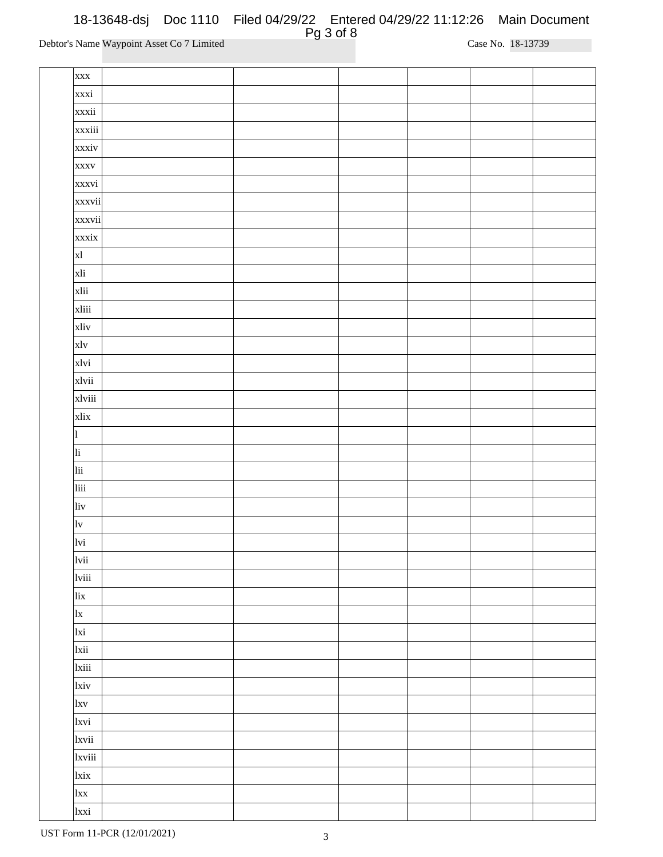| <b>XXX</b>              |  |  |  |
|-------------------------|--|--|--|
| xxxi                    |  |  |  |
| xxxii                   |  |  |  |
| xxxiii                  |  |  |  |
| xxxiv                   |  |  |  |
| <b>XXXV</b>             |  |  |  |
| xxxvi                   |  |  |  |
| xxxvii                  |  |  |  |
| xxxvii                  |  |  |  |
| xxxix                   |  |  |  |
| x                       |  |  |  |
| xli                     |  |  |  |
| xlii                    |  |  |  |
| xliii                   |  |  |  |
| xliv                    |  |  |  |
| x1v                     |  |  |  |
| xlvi                    |  |  |  |
| xlvii                   |  |  |  |
| xlviii                  |  |  |  |
| xlix                    |  |  |  |
| $\mathbf{1}$            |  |  |  |
| li                      |  |  |  |
| $\overline{\text{lii}}$ |  |  |  |
| liii                    |  |  |  |
| liv                     |  |  |  |
| $ _{\mathrm{lv}}$       |  |  |  |
| lvi                     |  |  |  |
| lvii                    |  |  |  |
| lviii                   |  |  |  |
| lix                     |  |  |  |
| x                       |  |  |  |
| lxi                     |  |  |  |
| lxii                    |  |  |  |
| <sub>1</sub> xiii       |  |  |  |
| <sub>lxiv</sub>         |  |  |  |
| <sub>lxv</sub>          |  |  |  |
| 1xvi                    |  |  |  |
| 1xvii                   |  |  |  |
| <b>xviii</b>            |  |  |  |
| <sub>lxix</sub>         |  |  |  |
| $\vert$ lxx             |  |  |  |
| lxxi                    |  |  |  |
|                         |  |  |  |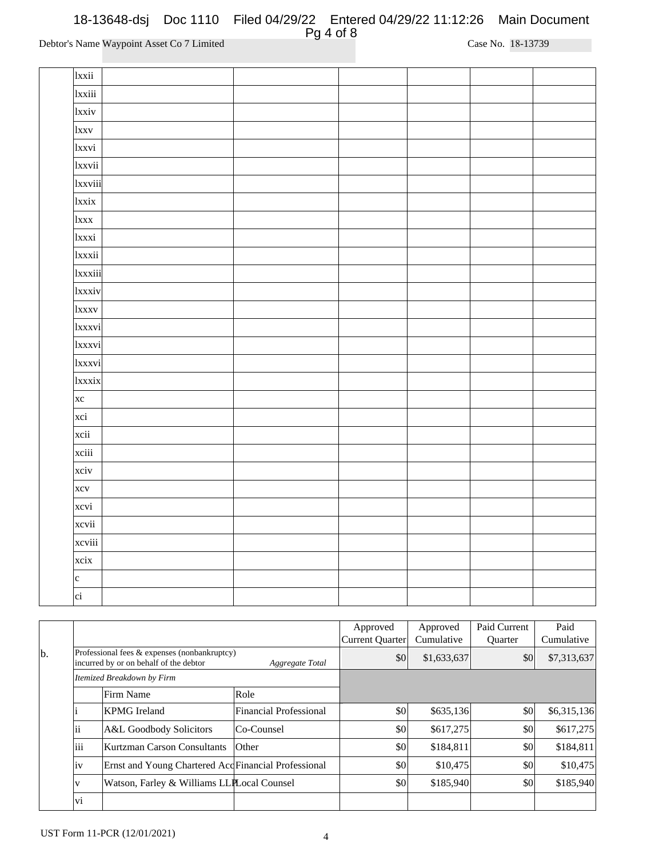| 1xxii           |  |  |  |
|-----------------|--|--|--|
| 1xxiii          |  |  |  |
| 1xxiv           |  |  |  |
| 1xxv            |  |  |  |
| lxxvi           |  |  |  |
| lxxvii          |  |  |  |
| 1xxviii         |  |  |  |
| <i>xxix</i>     |  |  |  |
| 1xxx            |  |  |  |
| 1xxxi           |  |  |  |
| lxxxii          |  |  |  |
| 1xxxiii         |  |  |  |
| 1xxxiv          |  |  |  |
| 1xxxv           |  |  |  |
| 1xxxvi          |  |  |  |
| 1xxxvi          |  |  |  |
| 1xxxvi          |  |  |  |
| 1xxxix          |  |  |  |
| $\vert$ xc      |  |  |  |
| xci             |  |  |  |
| xcii            |  |  |  |
| xciii           |  |  |  |
| xciv            |  |  |  |
| xcv             |  |  |  |
| xcvi            |  |  |  |
| xcvii           |  |  |  |
| xcviii          |  |  |  |
| xcix            |  |  |  |
| c               |  |  |  |
| $\overline{ci}$ |  |  |  |

|    |      |                                                                                                           |                               | Approved<br>Current Quarter | Approved<br>Cumulative | Paid Current<br><b>Ouarter</b> | Paid<br>Cumulative |
|----|------|-----------------------------------------------------------------------------------------------------------|-------------------------------|-----------------------------|------------------------|--------------------------------|--------------------|
| b. |      | Professional fees & expenses (nonbankruptcy)<br>incurred by or on behalf of the debtor<br>Aggregate Total |                               | \$0                         | \$1,633,637            | \$0                            | \$7,313,637        |
|    |      | Itemized Breakdown by Firm                                                                                |                               |                             |                        |                                |                    |
|    |      | Firm Name                                                                                                 | Role                          |                             |                        |                                |                    |
|    |      | <b>KPMG</b> Ireland                                                                                       | <b>Financial Professional</b> | \$0                         | \$635,136              | \$0                            | \$6,315,136        |
|    | 11   | A&L Goodbody Solicitors                                                                                   | Co-Counsel                    | \$0                         | \$617,275              | \$0                            | \$617,275          |
|    | liii | Kurtzman Carson Consultants                                                                               | $O$ ther                      | \$0                         | \$184,811              | \$0                            | \$184,811          |
|    | İV   | Ernst and Young Chartered Acd Financial Professional                                                      |                               | \$0                         | \$10,475               | \$0                            | \$10,475           |
|    | V    | Watson, Farley & Williams LLPLocal Counsel                                                                |                               | \$0                         | \$185,940              | \$0                            | \$185,940          |
|    | vi   |                                                                                                           |                               |                             |                        |                                |                    |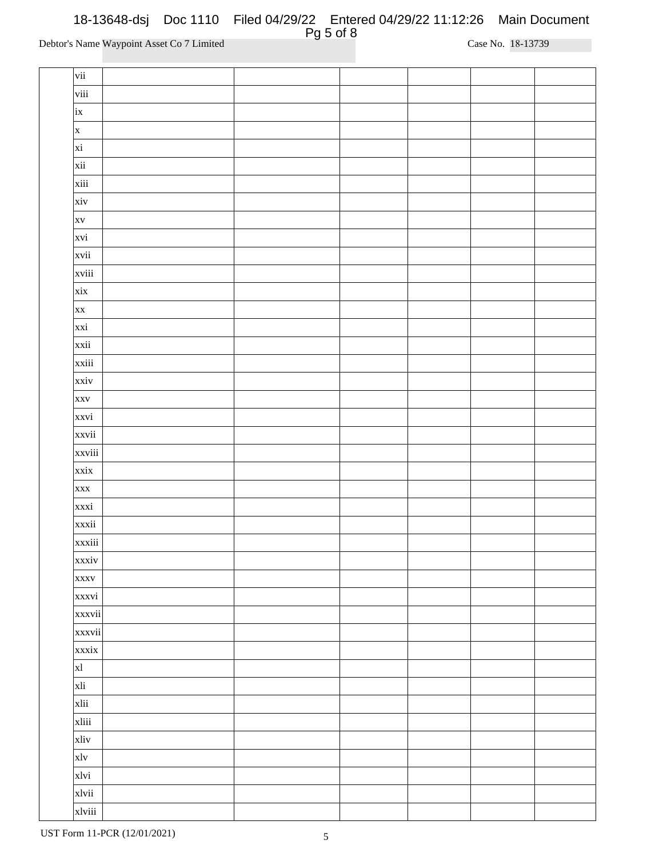| vii          |  |  |  |
|--------------|--|--|--|
| viii         |  |  |  |
| ix           |  |  |  |
| $\mathbf{x}$ |  |  |  |
| xi           |  |  |  |
| xii          |  |  |  |
| xiii         |  |  |  |
| xiv          |  |  |  |
| <b>XV</b>    |  |  |  |
| xvi          |  |  |  |
| xvii         |  |  |  |
| xviii        |  |  |  |
| xix          |  |  |  |
| <b>XX</b>    |  |  |  |
| xxi          |  |  |  |
| xxii         |  |  |  |
| xxiii        |  |  |  |
| xxiv         |  |  |  |
| <b>XXV</b>   |  |  |  |
| xxvi         |  |  |  |
| xxvii        |  |  |  |
| xxviii       |  |  |  |
| xxix         |  |  |  |
| <b>XXX</b>   |  |  |  |
| xxxi         |  |  |  |
| xxxii        |  |  |  |
| xxxiii       |  |  |  |
| xxxiv        |  |  |  |
| <b>XXXV</b>  |  |  |  |
| xxxvi        |  |  |  |
| xxxvii       |  |  |  |
| xxxvii       |  |  |  |
| xxxix        |  |  |  |
| x            |  |  |  |
| xli          |  |  |  |
| xlii         |  |  |  |
| xliii        |  |  |  |
| xliv         |  |  |  |
| xlv          |  |  |  |
| xlvi         |  |  |  |
| xlvii        |  |  |  |
| xlviii       |  |  |  |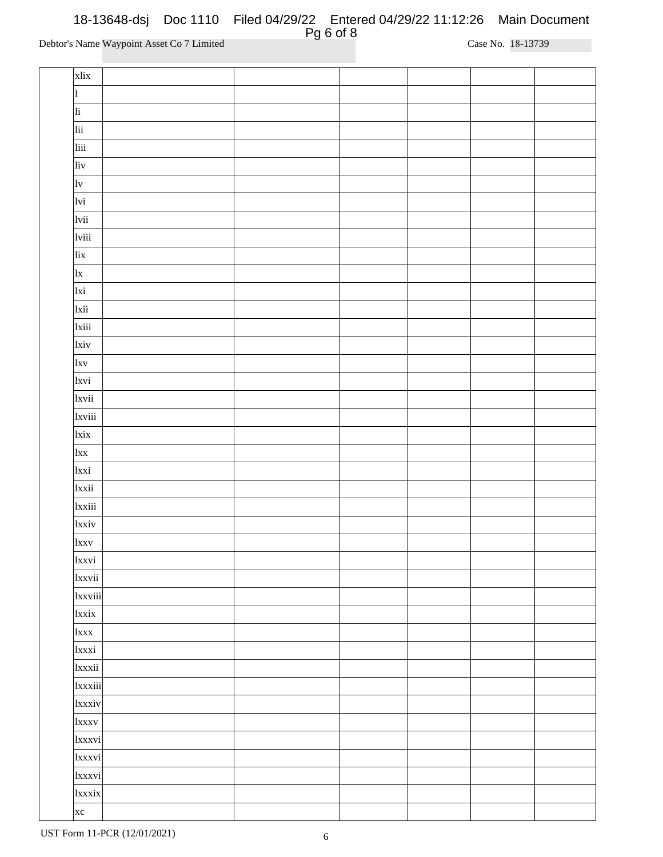| xlix              |  |  |  |
|-------------------|--|--|--|
| l                 |  |  |  |
| li                |  |  |  |
| lii               |  |  |  |
| liii              |  |  |  |
| liv               |  |  |  |
| $ _{\mathrm{lv}}$ |  |  |  |
| lvi               |  |  |  |
| lvii              |  |  |  |
| lviii             |  |  |  |
| lix               |  |  |  |
| x                 |  |  |  |
| lxi               |  |  |  |
| lxii              |  |  |  |
| 1xiii             |  |  |  |
| lxiv              |  |  |  |
| l x v             |  |  |  |
| 1xvi              |  |  |  |
| 1xvii             |  |  |  |
| 1xviii            |  |  |  |
| lxix              |  |  |  |
| $\vert$ lxx       |  |  |  |
| <sub>lxxi</sub>   |  |  |  |
| 1xxii             |  |  |  |
| 1xxiii            |  |  |  |
| 1xxiv             |  |  |  |
| 1xxv              |  |  |  |
| 1xxvi             |  |  |  |
| 1xxvii            |  |  |  |
| 1xxviii           |  |  |  |
| 1xxix             |  |  |  |
| <sub>1</sub> xxx  |  |  |  |
| 1xxxi             |  |  |  |
| 1xxxii            |  |  |  |
| 1xxxiii           |  |  |  |
| 1xxxiv            |  |  |  |
| 1xxxv             |  |  |  |
| 1xxxvi            |  |  |  |
| 1xxxvi            |  |  |  |
| 1xxxvi            |  |  |  |
| 1xxxix            |  |  |  |
| $\vert$ xc        |  |  |  |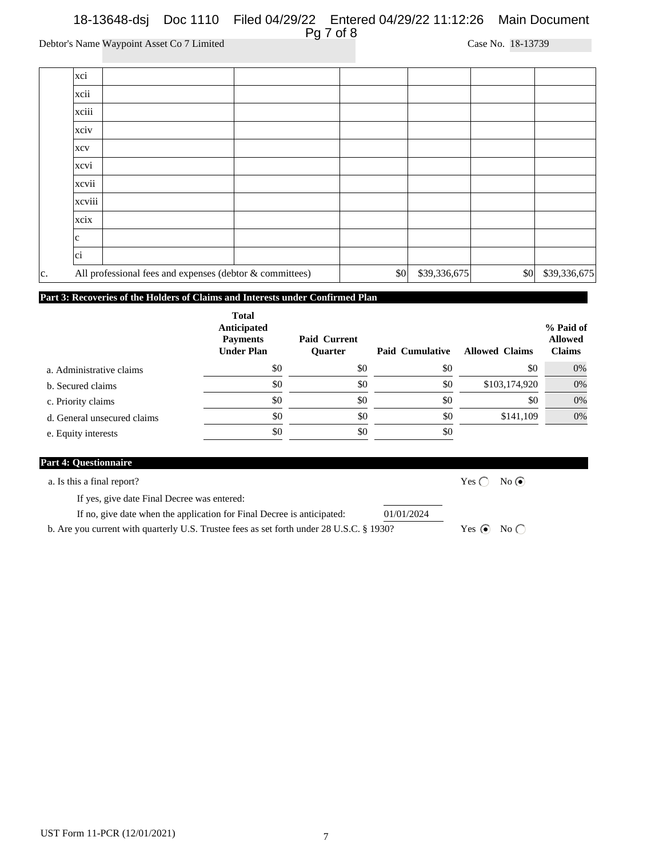|     | xci                                                      |  |     |              |              |              |
|-----|----------------------------------------------------------|--|-----|--------------|--------------|--------------|
|     | xcii                                                     |  |     |              |              |              |
|     | xciii                                                    |  |     |              |              |              |
|     | xciv                                                     |  |     |              |              |              |
|     | <b>XCV</b>                                               |  |     |              |              |              |
|     | xcvi                                                     |  |     |              |              |              |
|     | xcvii                                                    |  |     |              |              |              |
|     | xcviii                                                   |  |     |              |              |              |
|     | xcix                                                     |  |     |              |              |              |
|     | lc.                                                      |  |     |              |              |              |
|     | ci                                                       |  |     |              |              |              |
| lc. | All professional fees and expenses (debtor & committees) |  | \$0 | \$39,336,675 | $ 10\rangle$ | \$39,336,675 |

### **Part 3: Recoveries of the Holders of Claims and Interests under Confirmed Plan**

| <b>Total</b><br>Anticipated<br><b>Payments</b><br><b>Under Plan</b> | <b>Paid Current</b><br><b>Ouarter</b> | <b>Paid Cumulative</b> | <b>Allowed Claims</b> | % Paid of<br><b>Allowed</b><br><b>Claims</b> |
|---------------------------------------------------------------------|---------------------------------------|------------------------|-----------------------|----------------------------------------------|
| \$0                                                                 | \$0                                   | \$0                    | \$0                   | 0%                                           |
| \$0                                                                 | \$0                                   | \$0                    |                       | 0%                                           |
| \$0                                                                 | \$0                                   | \$0                    | \$0                   | 0%                                           |
| \$0                                                                 | \$0                                   | \$0                    |                       | 0%                                           |
| \$0                                                                 | \$0                                   | \$0                    |                       |                                              |
|                                                                     |                                       |                        |                       | \$103,174,920<br>\$141,109                   |

| <b>Part 4: Questionnaire</b>                                                             |               |                        |  |
|------------------------------------------------------------------------------------------|---------------|------------------------|--|
| a. Is this a final report?                                                               | Yes $\bigcap$ | $No$ $\odot$           |  |
| If yes, give date Final Decree was entered:                                              |               |                        |  |
| If no, give date when the application for Final Decree is anticipated:                   | 01/01/2024    |                        |  |
| b. Are you current with quarterly U.S. Trustee fees as set forth under 28 U.S.C. § 1930? |               | Yes $\odot$ No $\odot$ |  |
|                                                                                          |               |                        |  |